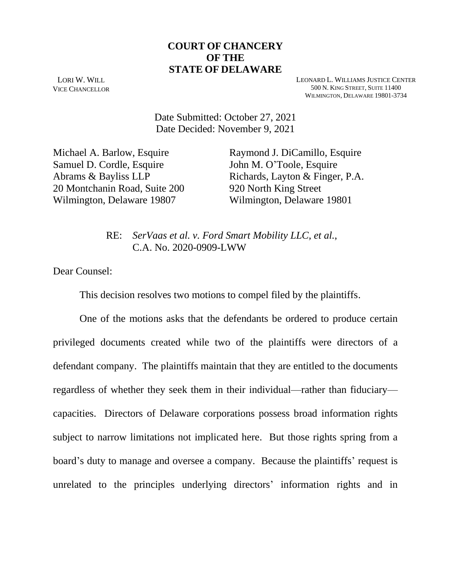### **COURT OF CHANCERY OF THE STATE OF DELAWARE**

LORI W. WILL VICE CHANCELLOR LEONARD L. WILLIAMS JUSTICE CENTER 500 N. KING STREET, SUITE 11400 WILMINGTON, DELAWARE 19801-3734

Date Submitted: October 27, 2021 Date Decided: November 9, 2021

Michael A. Barlow, Esquire Samuel D. Cordle, Esquire Abrams & Bayliss LLP 20 Montchanin Road, Suite 200 Wilmington, Delaware 19807

Raymond J. DiCamillo, Esquire John M. O'Toole, Esquire Richards, Layton & Finger, P.A. 920 North King Street Wilmington, Delaware 19801

RE: *SerVaas et al. v. Ford Smart Mobility LLC, et al.*, C.A. No. 2020-0909-LWW

Dear Counsel:

This decision resolves two motions to compel filed by the plaintiffs.

One of the motions asks that the defendants be ordered to produce certain privileged documents created while two of the plaintiffs were directors of a defendant company. The plaintiffs maintain that they are entitled to the documents regardless of whether they seek them in their individual—rather than fiduciary capacities. Directors of Delaware corporations possess broad information rights subject to narrow limitations not implicated here. But those rights spring from a board's duty to manage and oversee a company. Because the plaintiffs' request is unrelated to the principles underlying directors' information rights and in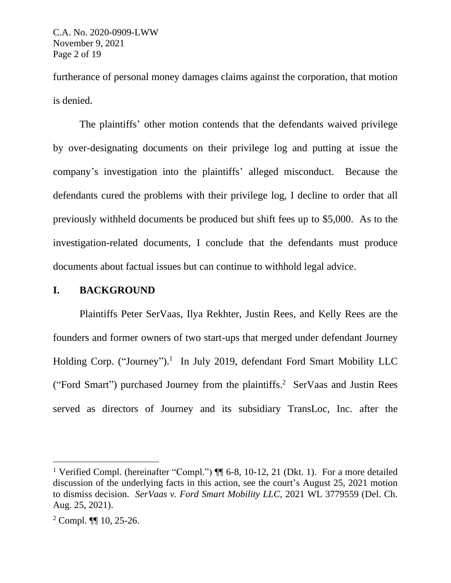furtherance of personal money damages claims against the corporation, that motion is denied.

The plaintiffs' other motion contends that the defendants waived privilege by over-designating documents on their privilege log and putting at issue the company's investigation into the plaintiffs' alleged misconduct. Because the defendants cured the problems with their privilege log, I decline to order that all previously withheld documents be produced but shift fees up to \$5,000. As to the investigation-related documents, I conclude that the defendants must produce documents about factual issues but can continue to withhold legal advice.

#### **I. BACKGROUND**

Plaintiffs Peter SerVaas, Ilya Rekhter, Justin Rees, and Kelly Rees are the founders and former owners of two start-ups that merged under defendant Journey Holding Corp. ("Journey").<sup>1</sup> In July 2019, defendant Ford Smart Mobility LLC ("Ford Smart") purchased Journey from the plaintiffs. 2 SerVaas and Justin Rees served as directors of Journey and its subsidiary TransLoc, Inc. after the

<sup>&</sup>lt;sup>1</sup> Verified Compl. (hereinafter "Compl.")  $\P$  6-8, 10-12, 21 (Dkt. 1). For a more detailed discussion of the underlying facts in this action, see the court's August 25, 2021 motion to dismiss decision. *SerVaas v. Ford Smart Mobility LLC*, 2021 WL 3779559 (Del. Ch. Aug. 25, 2021).

<sup>2</sup> Compl. ¶¶ 10, 25-26.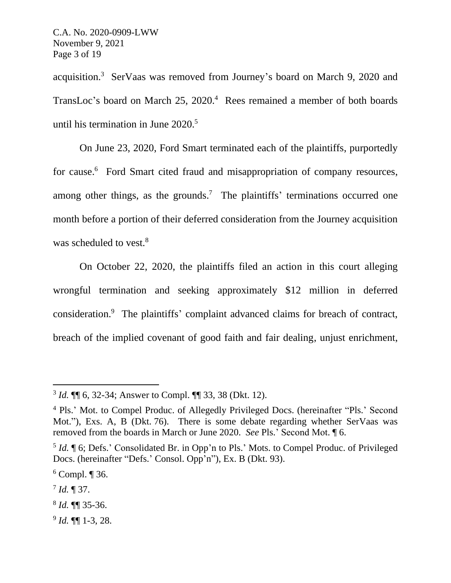acquisition.<sup>3</sup> SerVaas was removed from Journey's board on March 9, 2020 and TransLoc's board on March 25, 2020.<sup>4</sup> Rees remained a member of both boards until his termination in June 2020.<sup>5</sup>

On June 23, 2020, Ford Smart terminated each of the plaintiffs, purportedly for cause.<sup>6</sup> Ford Smart cited fraud and misappropriation of company resources, among other things, as the grounds.<sup>7</sup> The plaintiffs' terminations occurred one month before a portion of their deferred consideration from the Journey acquisition was scheduled to vest.<sup>8</sup>

On October 22, 2020, the plaintiffs filed an action in this court alleging wrongful termination and seeking approximately \$12 million in deferred consideration.<sup>9</sup> The plaintiffs' complaint advanced claims for breach of contract, breach of the implied covenant of good faith and fair dealing, unjust enrichment,

9 *Id.* ¶¶ 1-3, 28.

<sup>3</sup> *Id.* ¶¶ 6, 32-34; Answer to Compl. ¶¶ 33, 38 (Dkt. 12).

<sup>4</sup> Pls.' Mot. to Compel Produc. of Allegedly Privileged Docs. (hereinafter "Pls.' Second Mot."), Exs. A, B (Dkt. 76). There is some debate regarding whether SerVaas was removed from the boards in March or June 2020. *See* Pls.' Second Mot. ¶ 6.

<sup>&</sup>lt;sup>5</sup> *Id.* ¶ 6; Defs.' Consolidated Br. in Opp'n to Pls.' Mots. to Compel Produc. of Privileged Docs. (hereinafter "Defs.' Consol. Opp'n"), Ex. B (Dkt. 93).

 $6$  Compl.  $\P$  36.

<sup>7</sup> *Id.* ¶ 37.

<sup>8</sup> *Id.* ¶¶ 35-36.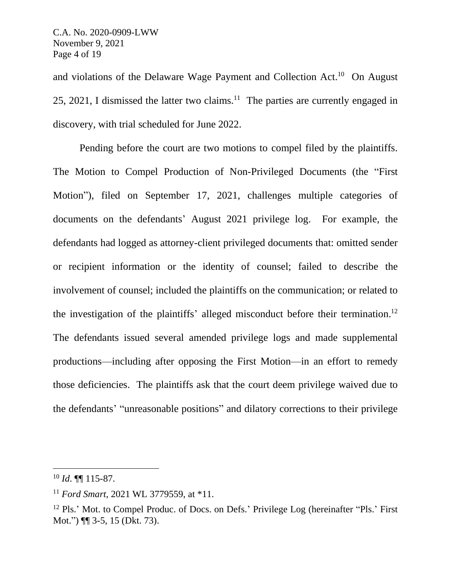and violations of the Delaware Wage Payment and Collection Act.<sup>10</sup> On August 25, 2021, I dismissed the latter two claims.<sup>11</sup> The parties are currently engaged in discovery, with trial scheduled for June 2022.

Pending before the court are two motions to compel filed by the plaintiffs. The Motion to Compel Production of Non-Privileged Documents (the "First Motion"), filed on September 17, 2021, challenges multiple categories of documents on the defendants' August 2021 privilege log. For example, the defendants had logged as attorney-client privileged documents that: omitted sender or recipient information or the identity of counsel; failed to describe the involvement of counsel; included the plaintiffs on the communication; or related to the investigation of the plaintiffs' alleged misconduct before their termination. 12 The defendants issued several amended privilege logs and made supplemental productions—including after opposing the First Motion—in an effort to remedy those deficiencies. The plaintiffs ask that the court deem privilege waived due to the defendants' "unreasonable positions" and dilatory corrections to their privilege

 $^{10}$  *Id.*  $\P\P$  115-87.

<sup>11</sup> *Ford Smart*, 2021 WL 3779559, at \*11.

<sup>&</sup>lt;sup>12</sup> Pls.' Mot. to Compel Produc. of Docs. on Defs.' Privilege Log (hereinafter "Pls.' First Mot.") ¶¶ 3-5, 15 (Dkt. 73).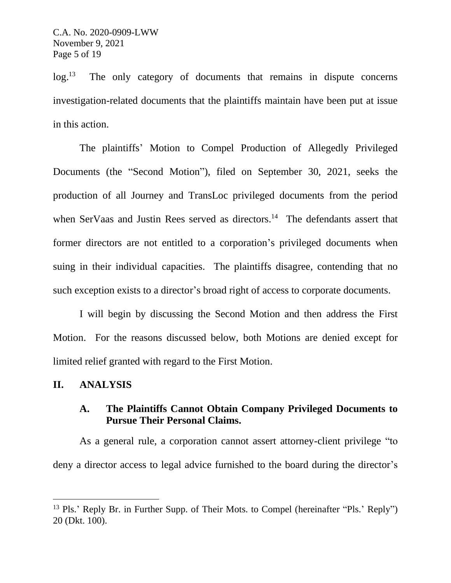$log.^{13}$  The only category of documents that remains in dispute concerns investigation-related documents that the plaintiffs maintain have been put at issue in this action.

The plaintiffs' Motion to Compel Production of Allegedly Privileged Documents (the "Second Motion"), filed on September 30, 2021, seeks the production of all Journey and TransLoc privileged documents from the period when SerVaas and Justin Rees served as directors.<sup>14</sup> The defendants assert that former directors are not entitled to a corporation's privileged documents when suing in their individual capacities. The plaintiffs disagree, contending that no such exception exists to a director's broad right of access to corporate documents.

I will begin by discussing the Second Motion and then address the First Motion. For the reasons discussed below, both Motions are denied except for limited relief granted with regard to the First Motion.

#### **II. ANALYSIS**

## **A. The Plaintiffs Cannot Obtain Company Privileged Documents to Pursue Their Personal Claims.**

As a general rule, a corporation cannot assert attorney-client privilege "to deny a director access to legal advice furnished to the board during the director's

<sup>&</sup>lt;sup>13</sup> Pls.' Reply Br. in Further Supp. of Their Mots. to Compel (hereinafter "Pls.' Reply") 20 (Dkt. 100).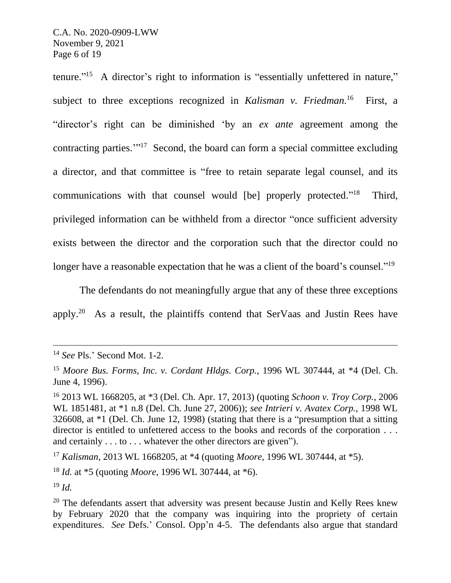tenure."<sup>15</sup> A director's right to information is "essentially unfettered in nature," subject to three exceptions recognized in *Kalisman v. Friedman.* 16 First, a "director's right can be diminished 'by an *ex ante* agreement among the contracting parties."<sup>17</sup> Second, the board can form a special committee excluding a director, and that committee is "free to retain separate legal counsel, and its communications with that counsel would [be] properly protected."<sup>18</sup> Third, privileged information can be withheld from a director "once sufficient adversity exists between the director and the corporation such that the director could no longer have a reasonable expectation that he was a client of the board's counsel."<sup>19</sup>

The defendants do not meaningfully argue that any of these three exceptions apply.<sup>20</sup> As a result, the plaintiffs contend that SerVaas and Justin Rees have

<sup>19</sup> *Id.*

<sup>14</sup> *See* Pls.' Second Mot. 1-2.

<sup>15</sup> *Moore Bus. Forms, Inc. v. Cordant Hldgs. Corp.*, 1996 WL 307444, at \*4 (Del. Ch. June 4, 1996).

<sup>16</sup> 2013 WL 1668205, at \*3 (Del. Ch. Apr. 17, 2013) (quoting *Schoon v. Troy Corp.*, 2006 WL 1851481, at \*1 n.8 (Del. Ch. June 27, 2006)); *see Intrieri v. Avatex Corp.*, 1998 WL 326608, at \*1 (Del. Ch. June 12, 1998) (stating that there is a "presumption that a sitting director is entitled to unfettered access to the books and records of the corporation . . . and certainly . . . to . . . whatever the other directors are given").

<sup>17</sup> *Kalisman*, 2013 WL 1668205, at \*4 (quoting *Moore*, 1996 WL 307444, at \*5).

<sup>18</sup> *Id.* at \*5 (quoting *Moore*, 1996 WL 307444, at \*6).

 $20$  The defendants assert that adversity was present because Justin and Kelly Rees knew by February 2020 that the company was inquiring into the propriety of certain expenditures. *See* Defs.' Consol. Opp'n 4-5. The defendants also argue that standard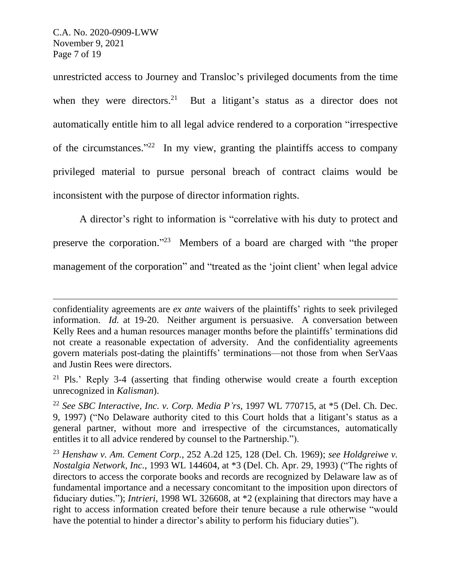unrestricted access to Journey and Transloc's privileged documents from the time when they were directors.<sup>21</sup> But a litigant's status as a director does not automatically entitle him to all legal advice rendered to a corporation "irrespective of the circumstances."<sup>22</sup> In my view, granting the plaintiffs access to company privileged material to pursue personal breach of contract claims would be inconsistent with the purpose of director information rights.

A director's right to information is "correlative with his duty to protect and preserve the corporation."<sup>23</sup> Members of a board are charged with "the proper management of the corporation" and "treated as the 'joint client' when legal advice

confidentiality agreements are *ex ante* waivers of the plaintiffs' rights to seek privileged information. *Id.* at 19-20. Neither argument is persuasive. A conversation between Kelly Rees and a human resources manager months before the plaintiffs' terminations did not create a reasonable expectation of adversity. And the confidentiality agreements govern materials post-dating the plaintiffs' terminations—not those from when SerVaas and Justin Rees were directors.

<sup>21</sup> Pls.' Reply 3-4 (asserting that finding otherwise would create a fourth exception unrecognized in *Kalisman*).

<sup>22</sup> *See SBC Interactive, Inc. v. Corp. Media P'rs*, 1997 WL 770715, at \*5 (Del. Ch. Dec. 9, 1997) ("No Delaware authority cited to this Court holds that a litigant's status as a general partner, without more and irrespective of the circumstances, automatically entitles it to all advice rendered by counsel to the Partnership.").

<sup>23</sup> *Henshaw v. Am. Cement Corp.*, 252 A.2d 125, 128 (Del. Ch. 1969); *see Holdgreiwe v. Nostalgia Network, Inc.*, 1993 WL 144604, at \*3 (Del. Ch. Apr. 29, 1993) ("The rights of directors to access the corporate books and records are recognized by Delaware law as of fundamental importance and a necessary concomitant to the imposition upon directors of fiduciary duties."); *Intrieri*, 1998 WL 326608, at \*2 (explaining that directors may have a right to access information created before their tenure because a rule otherwise "would have the potential to hinder a director's ability to perform his fiduciary duties").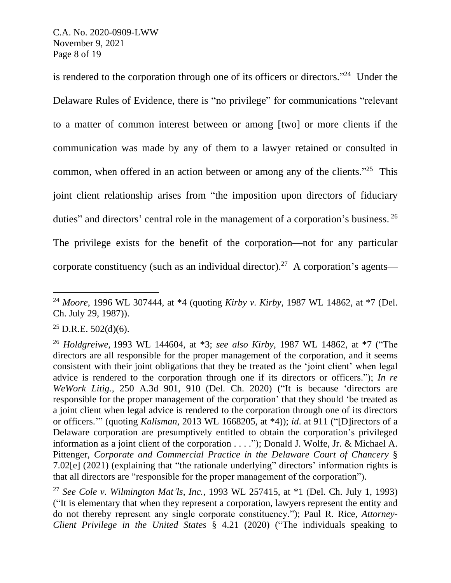is rendered to the corporation through one of its officers or directors."<sup>24</sup> Under the Delaware Rules of Evidence, there is "no privilege" for communications "relevant to a matter of common interest between or among [two] or more clients if the communication was made by any of them to a lawyer retained or consulted in common, when offered in an action between or among any of the clients."<sup>25</sup> This joint client relationship arises from "the imposition upon directors of fiduciary duties" and directors' central role in the management of a corporation's business. 26 The privilege exists for the benefit of the corporation—not for any particular corporate constituency (such as an individual director).<sup>27</sup> A corporation's agents—

<sup>24</sup> *Moore*, 1996 WL 307444, at \*4 (quoting *Kirby v. Kirby*, 1987 WL 14862, at \*7 (Del. Ch. July 29, 1987)).

 $25$  D.R.E.  $502(d)(6)$ .

<sup>26</sup> *Holdgreiwe*, 1993 WL 144604, at \*3; *see also Kirby*, 1987 WL 14862, at \*7 ("The directors are all responsible for the proper management of the corporation, and it seems consistent with their joint obligations that they be treated as the 'joint client' when legal advice is rendered to the corporation through one if its directors or officers."); *In re WeWork Litig.*, 250 A.3d 901, 910 (Del. Ch. 2020) ("It is because 'directors are responsible for the proper management of the corporation' that they should 'be treated as a joint client when legal advice is rendered to the corporation through one of its directors or officers.'" (quoting *Kalisman*, 2013 WL 1668205, at \*4)); *id*. at 911 ("[D]irectors of a Delaware corporation are presumptively entitled to obtain the corporation's privileged information as a joint client of the corporation . . . ."); Donald J. Wolfe, Jr. & Michael A. Pittenger, *Corporate and Commercial Practice in the Delaware Court of Chancery* § 7.02[e] (2021) (explaining that "the rationale underlying" directors' information rights is that all directors are "responsible for the proper management of the corporation").

<sup>27</sup> *See Cole v. Wilmington Mat'ls, Inc.*, 1993 WL 257415, at \*1 (Del. Ch. July 1, 1993) ("It is elementary that when they represent a corporation, lawyers represent the entity and do not thereby represent any single corporate constituency."); Paul R. Rice, *Attorney-Client Privilege in the United States* § 4.21 (2020) ("The individuals speaking to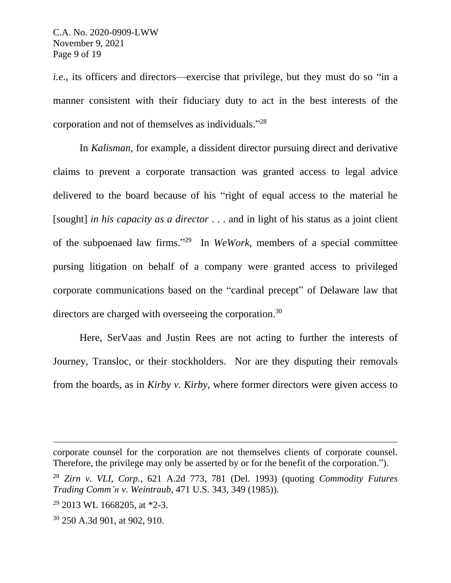*i.e.*, its officers and directors—exercise that privilege, but they must do so "in a manner consistent with their fiduciary duty to act in the best interests of the corporation and not of themselves as individuals." 28

In *Kalisman*, for example, a dissident director pursuing direct and derivative claims to prevent a corporate transaction was granted access to legal advice delivered to the board because of his "right of equal access to the material he [sought] *in his capacity as a director* . . . and in light of his status as a joint client of the subpoenaed law firms." <sup>29</sup> In *WeWork*, members of a special committee pursing litigation on behalf of a company were granted access to privileged corporate communications based on the "cardinal precept" of Delaware law that directors are charged with overseeing the corporation.<sup>30</sup>

Here, SerVaas and Justin Rees are not acting to further the interests of Journey, Transloc, or their stockholders. Nor are they disputing their removals from the boards, as in *Kirby v. Kirby*, where former directors were given access to

<sup>30</sup> 250 A.3d 901, at 902, 910.

corporate counsel for the corporation are not themselves clients of corporate counsel. Therefore, the privilege may only be asserted by or for the benefit of the corporation.").

<sup>28</sup> *Zirn v. VLI, Corp.*, 621 A.2d 773, 781 (Del. 1993) (quoting *Commodity Futures Trading Comm'n v. Weintraub*, 471 U.S. 343, 349 (1985)).

 $29$  2013 WL 1668205, at \*2-3.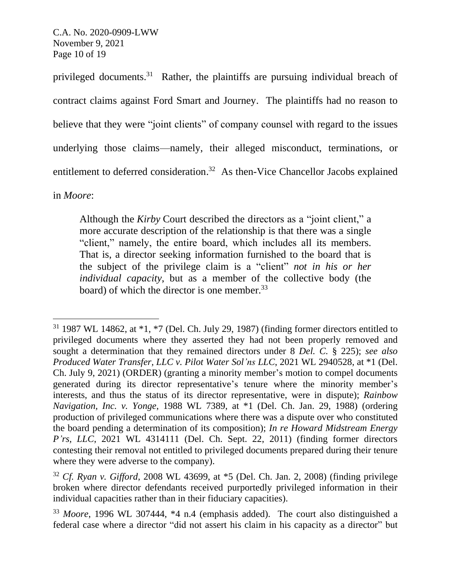C.A. No. 2020-0909-LWW November 9, 2021 Page 10 of 19

privileged documents.<sup>31</sup> Rather, the plaintiffs are pursuing individual breach of contract claims against Ford Smart and Journey. The plaintiffs had no reason to believe that they were "joint clients" of company counsel with regard to the issues underlying those claims—namely, their alleged misconduct, terminations, or entitlement to deferred consideration.<sup>32</sup> As then-Vice Chancellor Jacobs explained

in *Moore*:

Although the *Kirby* Court described the directors as a "joint client," a more accurate description of the relationship is that there was a single "client," namely, the entire board, which includes all its members. That is, a director seeking information furnished to the board that is the subject of the privilege claim is a "client" *not in his or her individual capacity*, but as a member of the collective body (the board) of which the director is one member.<sup>33</sup>

 $31$  1987 WL 14862, at  $*1$ ,  $*7$  (Del. Ch. July 29, 1987) (finding former directors entitled to privileged documents where they asserted they had not been properly removed and sought a determination that they remained directors under 8 *Del. C.* § 225); *see also Produced Water Transfer, LLC v. Pilot Water Sol'ns LLC*, 2021 WL 2940528, at \*1 (Del. Ch. July 9, 2021) (ORDER) (granting a minority member's motion to compel documents generated during its director representative's tenure where the minority member's interests, and thus the status of its director representative, were in dispute); *Rainbow Navigation, Inc. v. Yonge*, 1988 WL 7389, at \*1 (Del. Ch. Jan. 29, 1988) (ordering production of privileged communications where there was a dispute over who constituted the board pending a determination of its composition); *In re Howard Midstream Energy P'rs, LLC*, 2021 WL 4314111 (Del. Ch. Sept. 22, 2011) (finding former directors contesting their removal not entitled to privileged documents prepared during their tenure where they were adverse to the company).

<sup>32</sup> *Cf. Ryan v. Gifford*, 2008 WL 43699, at \*5 (Del. Ch. Jan. 2, 2008) (finding privilege broken where director defendants received purportedly privileged information in their individual capacities rather than in their fiduciary capacities).

<sup>33</sup> *Moore*, 1996 WL 307444, \*4 n.4 (emphasis added). The court also distinguished a federal case where a director "did not assert his claim in his capacity as a director" but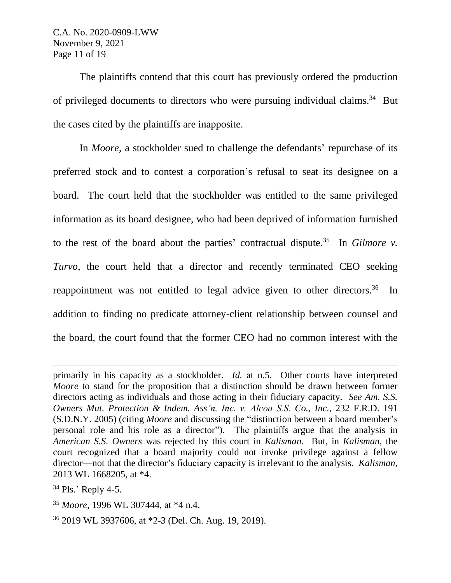C.A. No. 2020-0909-LWW November 9, 2021 Page 11 of 19

The plaintiffs contend that this court has previously ordered the production of privileged documents to directors who were pursuing individual claims.<sup>34</sup> But the cases cited by the plaintiffs are inapposite.

In *Moore*, a stockholder sued to challenge the defendants' repurchase of its preferred stock and to contest a corporation's refusal to seat its designee on a board. The court held that the stockholder was entitled to the same privileged information as its board designee, who had been deprived of information furnished to the rest of the board about the parties' contractual dispute. 35 In *Gilmore v. Turvo*, the court held that a director and recently terminated CEO seeking reappointment was not entitled to legal advice given to other directors.<sup>36</sup> In addition to finding no predicate attorney-client relationship between counsel and the board, the court found that the former CEO had no common interest with the

<sup>36</sup> 2019 WL 3937606, at \*2-3 (Del. Ch. Aug. 19, 2019).

primarily in his capacity as a stockholder. *Id.* at n.5. Other courts have interpreted *Moore* to stand for the proposition that a distinction should be drawn between former directors acting as individuals and those acting in their fiduciary capacity. *See Am. S.S. Owners Mut. Protection & Indem. Ass'n, Inc. v. Alcoa S.S. Co., Inc.*, 232 F.R.D. 191 (S.D.N.Y. 2005) (citing *Moore* and discussing the "distinction between a board member's personal role and his role as a director"). The plaintiffs argue that the analysis in *American S.S. Owners* was rejected by this court in *Kalisman*. But, in *Kalisman*, the court recognized that a board majority could not invoke privilege against a fellow director—not that the director's fiduciary capacity is irrelevant to the analysis. *Kalisman*, 2013 WL 1668205, at \*4.

 $34$  Pls.' Reply 4-5.

<sup>35</sup> *Moore*, 1996 WL 307444, at \*4 n.4.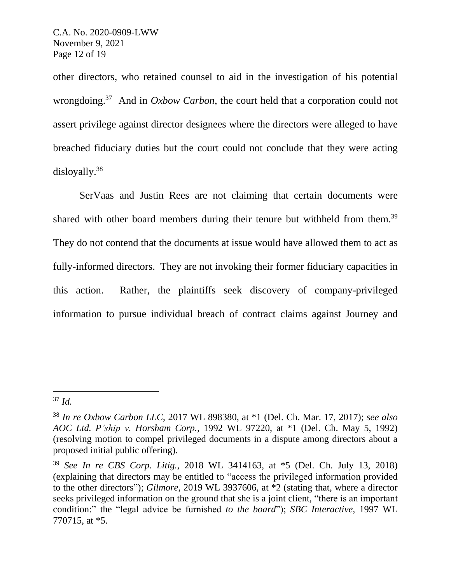other directors, who retained counsel to aid in the investigation of his potential wrongdoing. 37 And in *Oxbow Carbon*, the court held that a corporation could not assert privilege against director designees where the directors were alleged to have breached fiduciary duties but the court could not conclude that they were acting disloyally. 38

SerVaas and Justin Rees are not claiming that certain documents were shared with other board members during their tenure but withheld from them.<sup>39</sup> They do not contend that the documents at issue would have allowed them to act as fully-informed directors. They are not invoking their former fiduciary capacities in this action. Rather, the plaintiffs seek discovery of company-privileged information to pursue individual breach of contract claims against Journey and

<sup>37</sup> *Id.*

<sup>38</sup> *In re Oxbow Carbon LLC*, 2017 WL 898380, at \*1 (Del. Ch. Mar. 17, 2017); *see also AOC Ltd. P'ship v. Horsham Corp.*, 1992 WL 97220, at \*1 (Del. Ch. May 5, 1992) (resolving motion to compel privileged documents in a dispute among directors about a proposed initial public offering).

<sup>39</sup> *See In re CBS Corp. Litig.*, 2018 WL 3414163, at \*5 (Del. Ch. July 13, 2018) (explaining that directors may be entitled to "access the privileged information provided to the other directors"); *Gilmore*, 2019 WL 3937606, at \*2 (stating that, where a director seeks privileged information on the ground that she is a joint client, "there is an important condition:" the "legal advice be furnished *to the board*"); *SBC Interactive*, 1997 WL 770715, at \*5.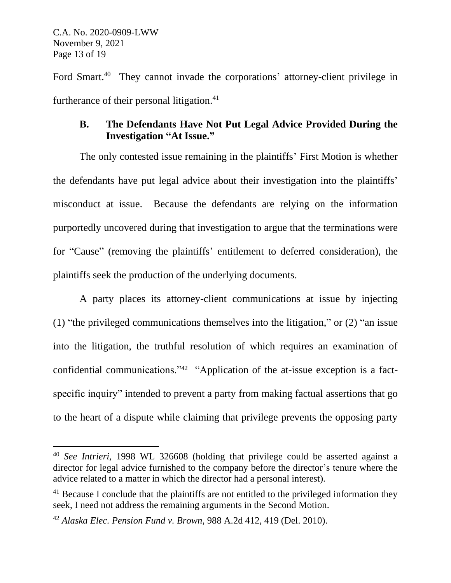Ford Smart.<sup>40</sup> They cannot invade the corporations' attorney-client privilege in furtherance of their personal litigation.<sup>41</sup>

# **B. The Defendants Have Not Put Legal Advice Provided During the Investigation "At Issue."**

The only contested issue remaining in the plaintiffs' First Motion is whether the defendants have put legal advice about their investigation into the plaintiffs' misconduct at issue. Because the defendants are relying on the information purportedly uncovered during that investigation to argue that the terminations were for "Cause" (removing the plaintiffs' entitlement to deferred consideration), the plaintiffs seek the production of the underlying documents.

A party places its attorney-client communications at issue by injecting (1) "the privileged communications themselves into the litigation," or (2) "an issue into the litigation, the truthful resolution of which requires an examination of confidential communications."<sup>42</sup> "Application of the at-issue exception is a factspecific inquiry" intended to prevent a party from making factual assertions that go to the heart of a dispute while claiming that privilege prevents the opposing party

<sup>40</sup> *See Intrieri*, 1998 WL 326608 (holding that privilege could be asserted against a director for legal advice furnished to the company before the director's tenure where the advice related to a matter in which the director had a personal interest).

 $41$  Because I conclude that the plaintiffs are not entitled to the privileged information they seek, I need not address the remaining arguments in the Second Motion.

<sup>42</sup> *Alaska Elec. Pension Fund v. Brown*, 988 A.2d 412, 419 (Del. 2010).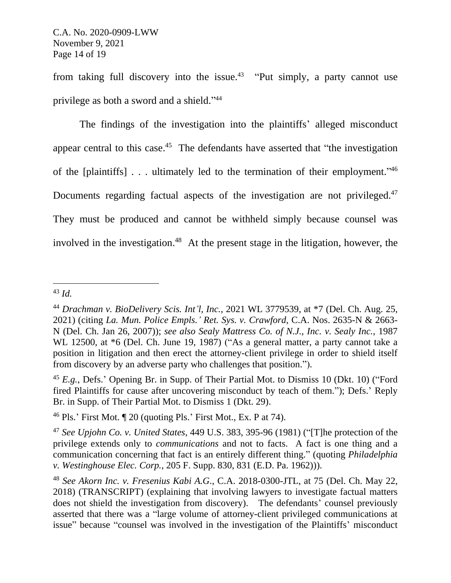from taking full discovery into the issue.<sup>43</sup> "Put simply, a party cannot use privilege as both a sword and a shield."<sup>44</sup>

The findings of the investigation into the plaintiffs' alleged misconduct appear central to this case.<sup>45</sup> The defendants have asserted that "the investigation of the [plaintiffs] . . . ultimately led to the termination of their employment."<sup>46</sup> Documents regarding factual aspects of the investigation are not privileged.<sup>47</sup> They must be produced and cannot be withheld simply because counsel was involved in the investigation. 48 At the present stage in the litigation, however, the

<sup>43</sup> *Id.*

<sup>44</sup> *Drachman v. BioDelivery Scis. Int'l, Inc.*, 2021 WL 3779539, at \*7 (Del. Ch. Aug. 25, 2021) (citing *La. Mun. Police Empls.' Ret. Sys. v. Crawford,* C.A. Nos. 2635-N & 2663- N (Del. Ch. Jan 26, 2007)); *see also Sealy Mattress Co. of N.J., Inc. v. Sealy Inc.*, 1987 WL 12500, at \*6 (Del. Ch. June 19, 1987) ("As a general matter, a party cannot take a position in litigation and then erect the attorney-client privilege in order to shield itself from discovery by an adverse party who challenges that position.").

<sup>45</sup> *E.g.*, Defs.' Opening Br. in Supp. of Their Partial Mot. to Dismiss 10 (Dkt. 10) ("Ford fired Plaintiffs for cause after uncovering misconduct by teach of them."); Defs.' Reply Br. in Supp. of Their Partial Mot. to Dismiss 1 (Dkt. 29).

<sup>&</sup>lt;sup>46</sup> Pls.' First Mot.  $\P$  20 (quoting Pls.' First Mot., Ex. P at 74).

<sup>47</sup> *See Upjohn Co. v. United States*, 449 U.S. 383, 395-96 (1981) ("[T]he protection of the privilege extends only to *communications* and not to facts. A fact is one thing and a communication concerning that fact is an entirely different thing." (quoting *Philadelphia v. Westinghouse Elec. Corp.*, 205 F. Supp. 830, 831 (E.D. Pa. 1962))).

<sup>48</sup> *See Akorn Inc. v. Fresenius Kabi A.G*., C.A. 2018-0300-JTL, at 75 (Del. Ch. May 22, 2018) (TRANSCRIPT) (explaining that involving lawyers to investigate factual matters does not shield the investigation from discovery). The defendants' counsel previously asserted that there was a "large volume of attorney-client privileged communications at issue" because "counsel was involved in the investigation of the Plaintiffs' misconduct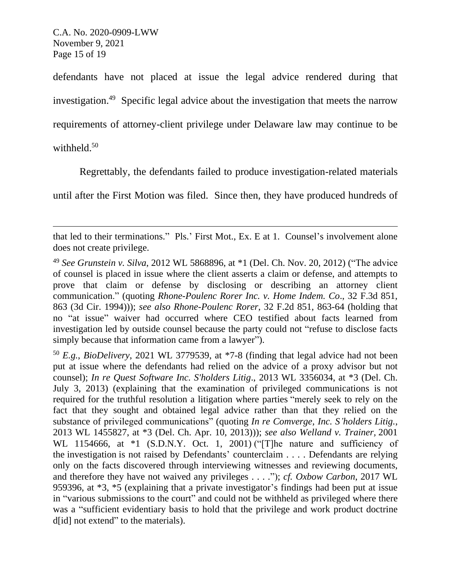defendants have not placed at issue the legal advice rendered during that investigation.<sup>49</sup> Specific legal advice about the investigation that meets the narrow requirements of attorney-client privilege under Delaware law may continue to be withheld.<sup>50</sup>

Regrettably, the defendants failed to produce investigation-related materials

until after the First Motion was filed. Since then, they have produced hundreds of

that led to their terminations." Pls.' First Mot., Ex. E at 1. Counsel's involvement alone does not create privilege.

<sup>49</sup> *See Grunstein v. Silva*, 2012 WL 5868896, at \*1 (Del. Ch. Nov. 20, 2012) ("The advice of counsel is placed in issue where the client asserts a claim or defense, and attempts to prove that claim or defense by disclosing or describing an attorney client communication." (quoting *Rhone-Poulenc Rorer Inc. v. Home Indem. Co*., 32 F.3d 851, 863 (3d Cir. 1994))); *see also Rhone-Poulenc Rorer*, 32 F.2d 851, 863-64 (holding that no "at issue" waiver had occurred where CEO testified about facts learned from investigation led by outside counsel because the party could not "refuse to disclose facts simply because that information came from a lawyer").

<sup>50</sup> *E.g.*, *BioDelivery*, 2021 WL 3779539, at \*7-8 (finding that legal advice had not been put at issue where the defendants had relied on the advice of a proxy advisor but not counsel); *In re Quest Software Inc. S'holders Litig*., 2013 WL 3356034, at \*3 (Del. Ch. July 3, 2013) (explaining that the examination of privileged communications is not required for the truthful resolution a litigation where parties "merely seek to rely on the fact that they sought and obtained legal advice rather than that they relied on the substance of privileged communications" (quoting *In re Comverge, Inc. S'holders Litig.*, 2013 WL 1455827, at \*3 (Del. Ch. Apr. 10, 2013))); *see also Welland v. Trainer,* 2001 WL 1154666, at \*1 (S.D.N.Y. Oct. 1, 2001) ("The nature and sufficiency of the investigation is not raised by Defendants' counterclaim . . . . Defendants are relying only on the facts discovered through interviewing witnesses and reviewing documents, and therefore they have not waived any privileges . . . ."); *cf. Oxbow Carbon*, 2017 WL 959396, at \*3, \*5 (explaining that a private investigator's findings had been put at issue in "various submissions to the court" and could not be withheld as privileged where there was a "sufficient evidentiary basis to hold that the privilege and work product doctrine d[id] not extend" to the materials).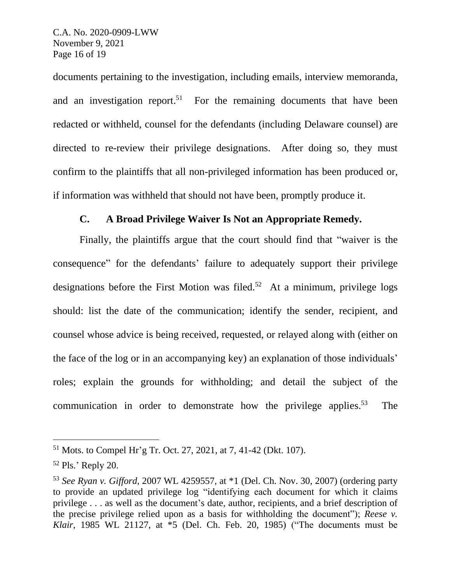documents pertaining to the investigation, including emails, interview memoranda, and an investigation report.<sup>51</sup> For the remaining documents that have been redacted or withheld, counsel for the defendants (including Delaware counsel) are directed to re-review their privilege designations. After doing so, they must confirm to the plaintiffs that all non-privileged information has been produced or, if information was withheld that should not have been, promptly produce it.

#### **C. A Broad Privilege Waiver Is Not an Appropriate Remedy.**

Finally, the plaintiffs argue that the court should find that "waiver is the consequence" for the defendants' failure to adequately support their privilege designations before the First Motion was filed.<sup>52</sup> At a minimum, privilege logs should: list the date of the communication; identify the sender, recipient, and counsel whose advice is being received, requested, or relayed along with (either on the face of the log or in an accompanying key) an explanation of those individuals' roles; explain the grounds for withholding; and detail the subject of the communication in order to demonstrate how the privilege applies.<sup>53</sup> The

<sup>51</sup> Mots. to Compel Hr'g Tr. Oct. 27, 2021, at 7, 41-42 (Dkt. 107).

<sup>52</sup> Pls.' Reply 20.

<sup>53</sup> *See Ryan v. Gifford*, 2007 WL 4259557, at \*1 (Del. Ch. Nov. 30, 2007) (ordering party to provide an updated privilege log "identifying each document for which it claims privilege . . . as well as the document's date, author, recipients, and a brief description of the precise privilege relied upon as a basis for withholding the document"); *Reese v. Klair*, 1985 WL 21127, at \*5 (Del. Ch. Feb. 20, 1985) ("The documents must be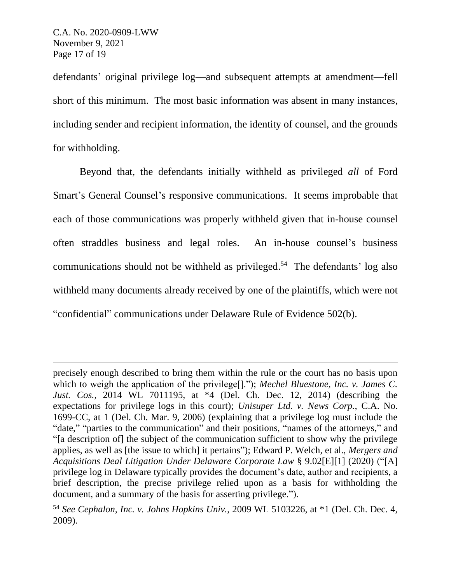defendants' original privilege log—and subsequent attempts at amendment—fell short of this minimum. The most basic information was absent in many instances, including sender and recipient information, the identity of counsel, and the grounds for withholding.

Beyond that, the defendants initially withheld as privileged *all* of Ford Smart's General Counsel's responsive communications. It seems improbable that each of those communications was properly withheld given that in-house counsel often straddles business and legal roles. An in-house counsel's business communications should not be withheld as privileged. 54 The defendants' log also withheld many documents already received by one of the plaintiffs, which were not "confidential" communications under Delaware Rule of Evidence 502(b).

precisely enough described to bring them within the rule or the court has no basis upon which to weigh the application of the privilege[]."); *Mechel Bluestone, Inc. v. James C. Just. Cos.*, 2014 WL 7011195, at \*4 (Del. Ch. Dec. 12, 2014) (describing the expectations for privilege logs in this court); *Unisuper Ltd. v. News Corp.*, C.A. No. 1699-CC, at 1 (Del. Ch. Mar. 9, 2006) (explaining that a privilege log must include the "date," "parties to the communication" and their positions, "names of the attorneys," and "[a description of] the subject of the communication sufficient to show why the privilege applies, as well as [the issue to which] it pertains"); Edward P. Welch, et al., *Mergers and Acquisitions Deal Litigation Under Delaware Corporate Law* § 9.02[E][1] (2020) ("[A] privilege log in Delaware typically provides the document's date, author and recipients, a brief description, the precise privilege relied upon as a basis for withholding the document, and a summary of the basis for asserting privilege.").

<sup>54</sup> *See Cephalon, Inc. v. Johns Hopkins Univ.*, 2009 WL 5103226, at \*1 (Del. Ch. Dec. 4, 2009).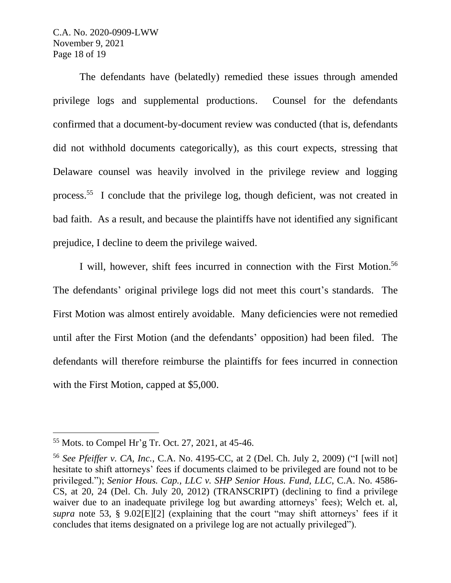C.A. No. 2020-0909-LWW November 9, 2021 Page 18 of 19

The defendants have (belatedly) remedied these issues through amended privilege logs and supplemental productions. Counsel for the defendants confirmed that a document-by-document review was conducted (that is, defendants did not withhold documents categorically), as this court expects, stressing that Delaware counsel was heavily involved in the privilege review and logging process.<sup>55</sup> I conclude that the privilege log, though deficient, was not created in bad faith. As a result, and because the plaintiffs have not identified any significant prejudice, I decline to deem the privilege waived.

I will, however, shift fees incurred in connection with the First Motion.<sup>56</sup> The defendants' original privilege logs did not meet this court's standards. The First Motion was almost entirely avoidable. Many deficiencies were not remedied until after the First Motion (and the defendants' opposition) had been filed. The defendants will therefore reimburse the plaintiffs for fees incurred in connection with the First Motion, capped at \$5,000.

<sup>55</sup> Mots. to Compel Hr'g Tr. Oct. 27, 2021, at 45-46.

<sup>56</sup> *See Pfeiffer v. CA, Inc.*, C.A. No. 4195-CC, at 2 (Del. Ch. July 2, 2009) ("I [will not] hesitate to shift attorneys' fees if documents claimed to be privileged are found not to be privileged."); *Senior Hous. Cap., LLC v. SHP Senior Hous. Fund, LLC*, C.A. No. 4586- CS, at 20, 24 (Del. Ch. July 20, 2012) (TRANSCRIPT) (declining to find a privilege waiver due to an inadequate privilege log but awarding attorneys' fees); Welch et. al, *supra* note 53, § 9.02[E][2] (explaining that the court "may shift attorneys' fees if it concludes that items designated on a privilege log are not actually privileged").